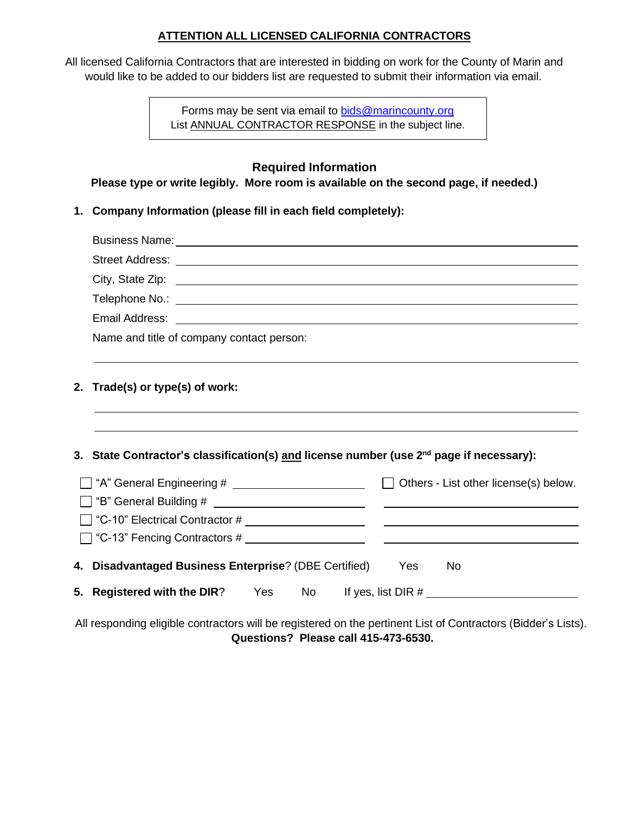## **ATTENTION ALL LICENSED CALIFORNIA CONTRACTORS**

All licensed California Contractors that are interested in bidding on work for the County of Marin and would like to be added to our bidders list are requested to submit their information via email.

> Forms may be sent via email to [bids@marincounty.org](mailto:bids@marincounty.org) List ANNUAL CONTRACTOR RESPONSE in the subject line.

## **Required Information**

**Please type or write legibly. More room is available on the second page, if needed.)**

**1. Company Information (please fill in each field completely):**

| Business Name: Name: Name and South Assembly Name and South Assembly Name and South Assembly Name and South Assembly                                                                                                           |
|--------------------------------------------------------------------------------------------------------------------------------------------------------------------------------------------------------------------------------|
| Street Address: No. 2006. The Contract of the Contract of the Contract of the Contract of the Contract of the Contract of the Contract of the Contract of the Contract of the Contract of the Contract of the Contract of the  |
| City, State Zip: example of the state of the state of the state of the state of the state of the state of the state of the state of the state of the state of the state of the state of the state of the state of the state of |
|                                                                                                                                                                                                                                |
| Email Address: <u>Annual Address:</u> Annual Address: Annual Address: Annual Address: Annual Address: Annual Address: A                                                                                                        |
| Name and title of company contact person:                                                                                                                                                                                      |
|                                                                                                                                                                                                                                |
| 2. Trade(s) or type(s) of work:                                                                                                                                                                                                |
|                                                                                                                                                                                                                                |
| 3. State Contractor's classification(s) <u>and</u> license number (use 2 <sup>nd</sup> page if necessary):                                                                                                                     |
|                                                                                                                                                                                                                                |
|                                                                                                                                                                                                                                |
|                                                                                                                                                                                                                                |
|                                                                                                                                                                                                                                |
| 4. Disadvantaged Business Enterprise? (DBE Certified)<br>Yes<br><b>No</b>                                                                                                                                                      |
| 5. Registered with the DIR? Yes No If yes, list DIR #                                                                                                                                                                          |

All responding eligible contractors will be registered on the pertinent List of Contractors (Bidder's Lists). **Questions? Please call 415-473-6530.**